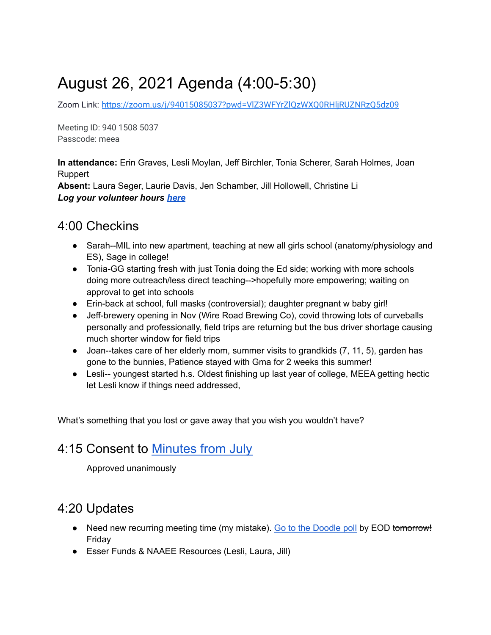# August 26, 2021 Agenda (4:00-5:30)

Zoom Link: <https://zoom.us/j/94015085037?pwd=VlZ3WFYrZlQzWXQ0RHljRUZNRzQ5dz09>

Meeting ID: 940 1508 5037 Passcode: meea

**In attendance:** Erin Graves, Lesli Moylan, Jeff Birchler, Tonia Scherer, Sarah Holmes, Joan Ruppert

**Absent:** Laura Seger, Laurie Davis, Jen Schamber, Jill Hollowell, Christine Li *Log your volunteer hours [here](https://docs.google.com/forms/d/e/1FAIpQLSeyGs3BdG_sxFAGpjjXzRryj-8Os6pPqOvRnoMgrYpaisbrkw/viewform?usp=sf_link)*

### 4:00 Checkins

- Sarah--MIL into new apartment, teaching at new all girls school (anatomy/physiology and ES), Sage in college!
- Tonia-GG starting fresh with just Tonia doing the Ed side; working with more schools doing more outreach/less direct teaching-->hopefully more empowering; waiting on approval to get into schools
- Erin-back at school, full masks (controversial); daughter pregnant w baby girl!
- Jeff-brewery opening in Nov (Wire Road Brewing Co), covid throwing lots of curveballs personally and professionally, field trips are returning but the bus driver shortage causing much shorter window for field trips
- Joan--takes care of her elderly mom, summer visits to grandkids (7, 11, 5), garden has gone to the bunnies, Patience stayed with Gma for 2 weeks this summer!
- Lesli-- youngest started h.s. Oldest finishing up last year of college, MEEA getting hectic let Lesli know if things need addressed,

What's something that you lost or gave away that you wish you wouldn't have?

### 4:15 Consent to [Minutes from July](https://docs.google.com/document/d/1-FvGJupsrcrHQqgPcOMRi5Fw0BqYMSrRYlj75W3M1wc/edit?usp=sharing)

Approved unanimously

## 4:20 Updates

- Need new recurring meeting time (my mistake). [Go to the Doodle poll](https://doodle.com/poll/bnpmmvmcfqww5kd5?utm_source=poll&utm_medium=link) by EOD tomorrow! Friday
- Esser Funds & NAAEE Resources (Lesli, Laura, Jill)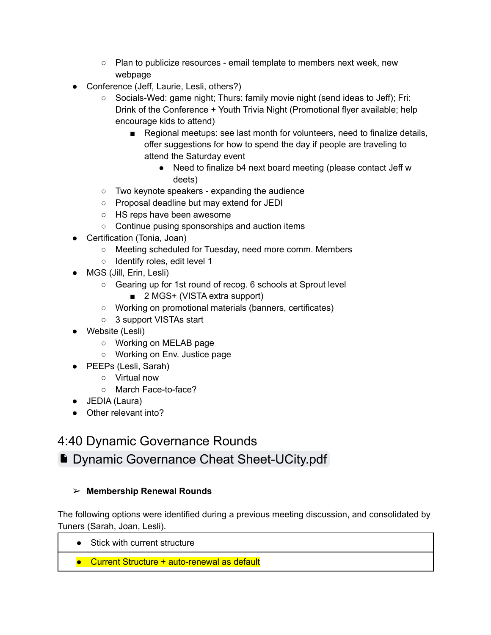- Plan to publicize resources email template to members next week, new webpage
- Conference (Jeff, Laurie, Lesli, others?)
	- Socials-Wed: game night; Thurs: family movie night (send ideas to Jeff); Fri: Drink of the Conference + Youth Trivia Night (Promotional flyer available; help encourage kids to attend)
		- Regional meetups: see last month for volunteers, need to finalize details, offer suggestions for how to spend the day if people are traveling to attend the Saturday event
			- Need to finalize b4 next board meeting (please contact Jeff w deets)
	- Two keynote speakers expanding the audience
	- Proposal deadline but may extend for JEDI
	- HS reps have been awesome
	- Continue pusing sponsorships and auction items
- Certification (Tonia, Joan)
	- Meeting scheduled for Tuesday, need more comm. Members
	- Identify roles, edit level 1
- MGS (Jill, Erin, Lesli)
	- Gearing up for 1st round of recog. 6 schools at Sprout level
		- 2 MGS+ (VISTA extra support)
	- Working on promotional materials (banners, certificates)
	- 3 support VISTAs start
- Website (Lesli)
	- Working on MELAB page
	- Working on Env. Justice page
- PEEPs (Lesli, Sarah)
	- Virtual now
	- March Face-to-face?
- JEDIA (Laura)
- Other relevant into?

### 4:40 Dynamic Governance Rounds

## ■ [Dynamic Governance Cheat Sheet-UCity.pdf](https://drive.google.com/file/d/16sS0kGlQ0eH5GW9n9eM6jjFxAGQujtpL/view?usp=sharing)

### ➢ **Membership Renewal Rounds**

The following options were identified during a previous meeting discussion, and consolidated by Tuners (Sarah, Joan, Lesli).

- Stick with current structure
- Current Structure + auto-renewal as default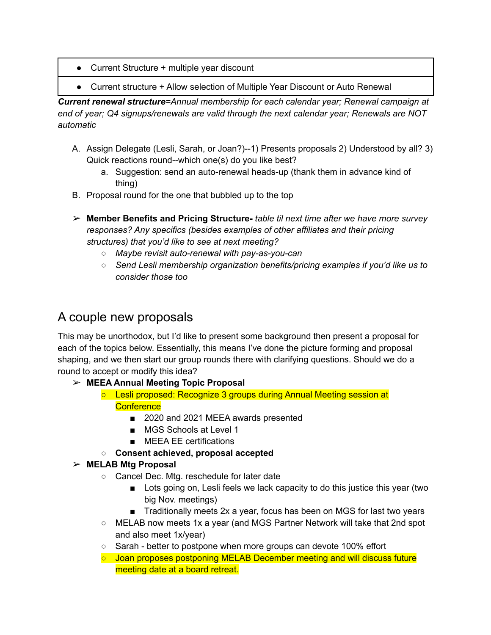- Current Structure + multiple year discount
- Current structure + Allow selection of Multiple Year Discount or Auto Renewal

*Current renewal structure=Annual membership for each calendar year; Renewal campaign at end of year; Q4 signups/renewals are valid through the next calendar year; Renewals are NOT automatic*

- A. Assign Delegate (Lesli, Sarah, or Joan?)--1) Presents proposals 2) Understood by all? 3) Quick reactions round--which one(s) do you like best?
	- a. Suggestion: send an auto-renewal heads-up (thank them in advance kind of thing)
- B. Proposal round for the one that bubbled up to the top
- ➢ **Member Benefits and Pricing Structure-** *table til next time after we have more survey responses? Any specifics (besides examples of other affiliates and their pricing structures) that you'd like to see at next meeting?*
	- *Maybe revisit auto-renewal with pay-as-you-can*
	- *Send Lesli membership organization benefits/pricing examples if you'd like us to consider those too*

### A couple new proposals

This may be unorthodox, but I'd like to present some background then present a proposal for each of the topics below. Essentially, this means I've done the picture forming and proposal shaping, and we then start our group rounds there with clarifying questions. Should we do a round to accept or modify this idea?

- ➢ **MEEA Annual Meeting Topic Proposal**
	- **○** Lesli proposed: Recognize 3 groups during Annual Meeting session at **Conference** 
		- 2020 and 2021 MEEA awards presented
		- MGS Schools at Level 1
		- **■** MEEA EE certifications
	- **Consent achieved, proposal accepted**
- ➢ **MELAB Mtg Proposal**
	- Cancel Dec. Mtg. reschedule for later date
		- Lots going on, Lesli feels we lack capacity to do this justice this year (two big Nov. meetings)
		- Traditionally meets 2x a year, focus has been on MGS for last two years
	- MELAB now meets 1x a year (and MGS Partner Network will take that 2nd spot and also meet 1x/year)
	- Sarah better to postpone when more groups can devote 100% effort
	- Joan proposes postponing MELAB December meeting and will discuss future meeting date at a board retreat.